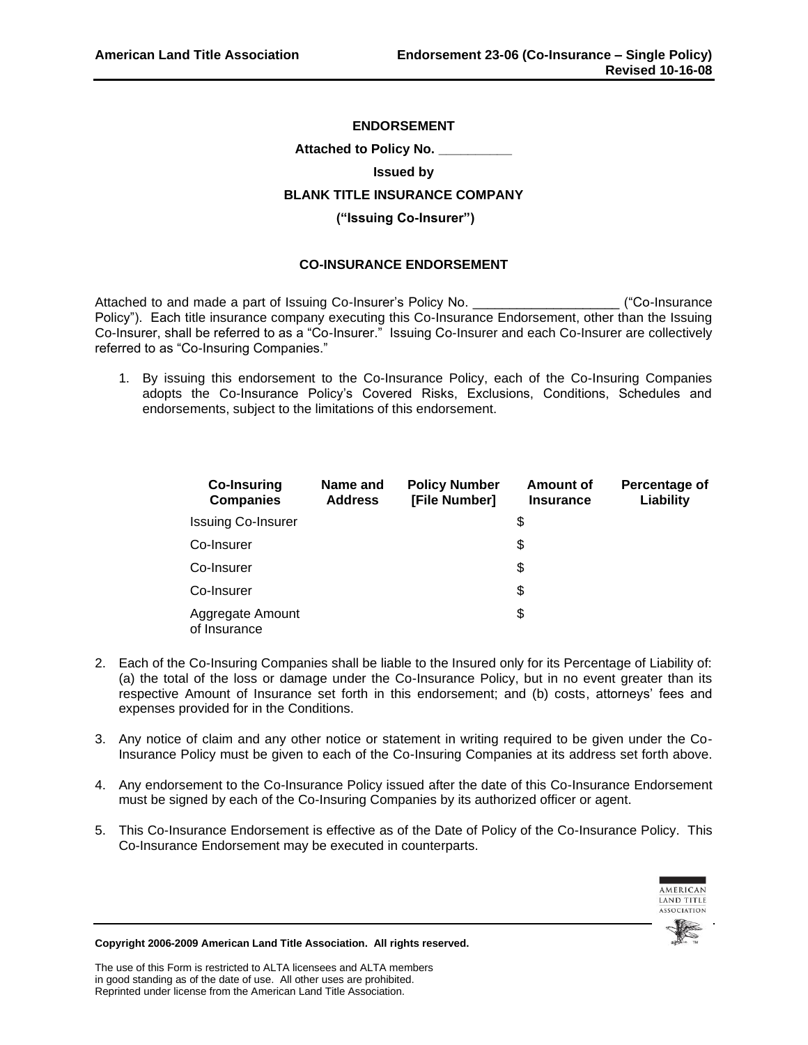# **ENDORSEMENT**

**Attached to Policy No. \_\_\_\_\_\_\_\_\_\_**

#### **Issued by**

# **BLANK TITLE INSURANCE COMPANY**

#### **("Issuing Co-Insurer")**

### **CO-INSURANCE ENDORSEMENT**

Attached to and made a part of Issuing Co-Insurer's Policy No. \_\_\_\_\_\_\_\_\_\_\_\_\_\_\_\_\_\_\_\_ ("Co-Insurance Policy"). Each title insurance company executing this Co-Insurance Endorsement, other than the Issuing Co-Insurer, shall be referred to as a "Co-Insurer." Issuing Co-Insurer and each Co-Insurer are collectively referred to as "Co-Insuring Companies."

1. By issuing this endorsement to the Co-Insurance Policy, each of the Co-Insuring Companies adopts the Co-Insurance Policy's Covered Risks, Exclusions, Conditions, Schedules and endorsements, subject to the limitations of this endorsement.

| <b>Co-Insuring</b><br><b>Companies</b> | Name and<br><b>Address</b> | <b>Policy Number</b><br>[File Number] | Amount of<br><b>Insurance</b> | Percentage of<br>Liability |
|----------------------------------------|----------------------------|---------------------------------------|-------------------------------|----------------------------|
| <b>Issuing Co-Insurer</b>              |                            |                                       | \$                            |                            |
| Co-Insurer                             |                            |                                       | \$                            |                            |
| Co-Insurer                             |                            |                                       | \$                            |                            |
| Co-Insurer                             |                            |                                       | \$                            |                            |
| Aggregate Amount<br>of Insurance       |                            |                                       | \$                            |                            |

- 2. Each of the Co-Insuring Companies shall be liable to the Insured only for its Percentage of Liability of: (a) the total of the loss or damage under the Co-Insurance Policy, but in no event greater than its respective Amount of Insurance set forth in this endorsement; and (b) costs, attorneys' fees and expenses provided for in the Conditions.
- 3. Any notice of claim and any other notice or statement in writing required to be given under the Co-Insurance Policy must be given to each of the Co-Insuring Companies at its address set forth above.
- 4. Any endorsement to the Co-Insurance Policy issued after the date of this Co-Insurance Endorsement must be signed by each of the Co-Insuring Companies by its authorized officer or agent.
- 5. This Co-Insurance Endorsement is effective as of the Date of Policy of the Co-Insurance Policy. This Co-Insurance Endorsement may be executed in counterparts.





**Copyright 2006-2009 American Land Title Association. All rights reserved.**

The use of this Form is restricted to ALTA licensees and ALTA members in good standing as of the date of use. All other uses are prohibited. Reprinted under license from the American Land Title Association.